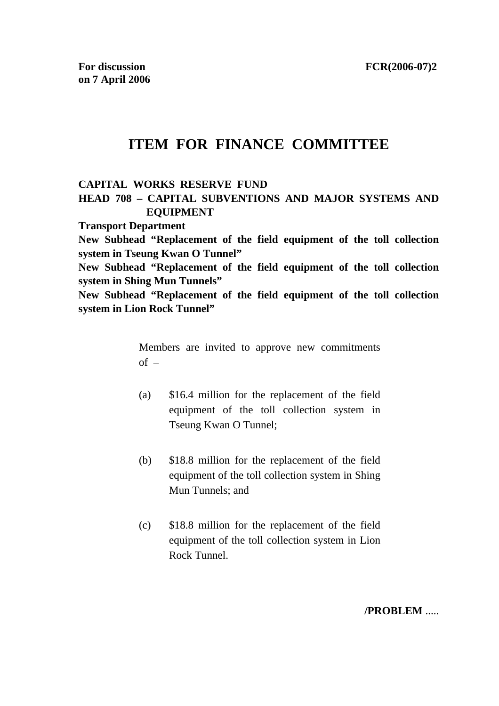# **ITEM FOR FINANCE COMMITTEE**

#### **CAPITAL WORKS RESERVE FUND**

# **HEAD 708 – CAPITAL SUBVENTIONS AND MAJOR SYSTEMS AND EQUIPMENT**

**Transport Department** 

**New Subhead "Replacement of the field equipment of the toll collection system in Tseung Kwan O Tunnel"** 

**New Subhead "Replacement of the field equipment of the toll collection system in Shing Mun Tunnels"** 

**New Subhead "Replacement of the field equipment of the toll collection system in Lion Rock Tunnel"** 

> Members are invited to approve new commitments  $of -$

- (a) \$16.4 million for the replacement of the field equipment of the toll collection system in Tseung Kwan O Tunnel;
- (b) \$18.8 million for the replacement of the field equipment of the toll collection system in Shing Mun Tunnels; and
- (c) \$18.8 million for the replacement of the field equipment of the toll collection system in Lion Rock Tunnel.

**/PROBLEM** .....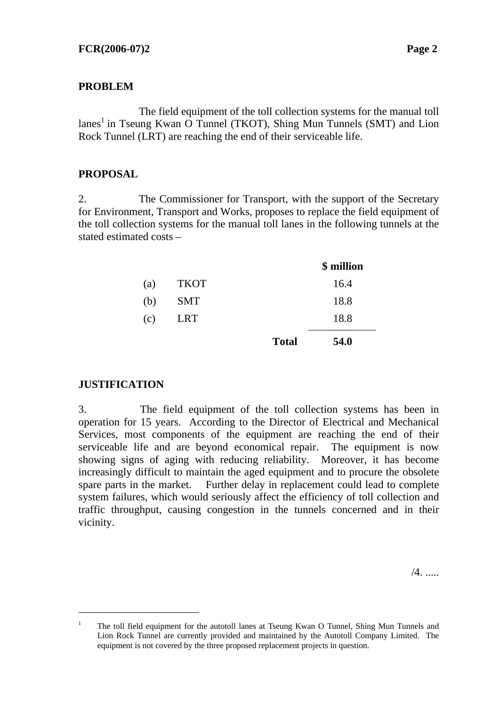### **PROBLEM**

The field equipment of the toll collection systems for the manual toll lanes<sup>1</sup> in Tseung Kwan O Tunnel (TKOT), Shing Mun Tunnels (SMT) and Lion Rock Tunnel (LRT) are reaching the end of their serviceable life.

# **PROPOSAL**

2. The Commissioner for Transport, with the support of the Secretary for Environment, Transport and Works, proposes to replace the field equipment of the toll collection systems for the manual toll lanes in the following tunnels at the stated estimated costs –

|     |             |              | \$ million |
|-----|-------------|--------------|------------|
| (a) | <b>TKOT</b> |              | 16.4       |
| (b) | <b>SMT</b>  |              | 18.8       |
| (c) | <b>LRT</b>  |              | 18.8       |
|     |             | <b>Total</b> | 54.0       |

### **JUSTIFICATION**

l

3. The field equipment of the toll collection systems has been in operation for 15 years. According to the Director of Electrical and Mechanical Services, most components of the equipment are reaching the end of their serviceable life and are beyond economical repair. The equipment is now showing signs of aging with reducing reliability. Moreover, it has become increasingly difficult to maintain the aged equipment and to procure the obsolete spare parts in the market. Further delay in replacement could lead to complete system failures, which would seriously affect the efficiency of toll collection and traffic throughput, causing congestion in the tunnels concerned and in their vicinity.

/4. .....

<sup>1</sup> The toll field equipment for the autotoll lanes at Tseung Kwan O Tunnel, Shing Mun Tunnels and Lion Rock Tunnel are currently provided and maintained by the Autotoll Company Limited. The equipment is not covered by the three proposed replacement projects in question.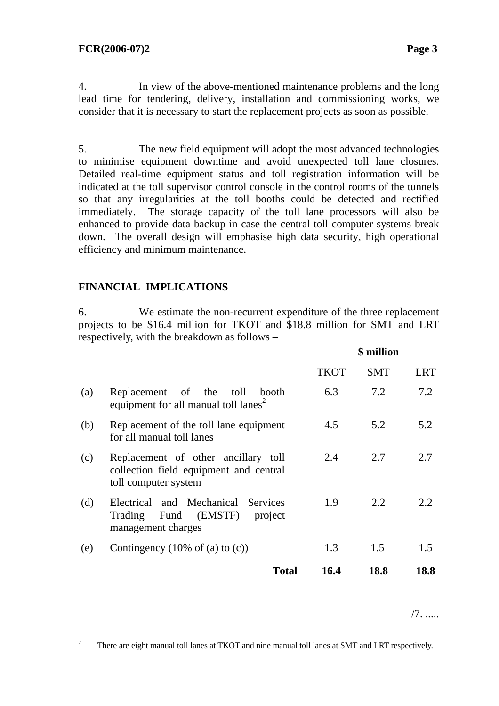4. In view of the above-mentioned maintenance problems and the long lead time for tendering, delivery, installation and commissioning works, we consider that it is necessary to start the replacement projects as soon as possible.

5. The new field equipment will adopt the most advanced technologies to minimise equipment downtime and avoid unexpected toll lane closures. Detailed real-time equipment status and toll registration information will be indicated at the toll supervisor control console in the control rooms of the tunnels so that any irregularities at the toll booths could be detected and rectified immediately. The storage capacity of the toll lane processors will also be enhanced to provide data backup in case the central toll computer systems break down. The overall design will emphasise high data security, high operational efficiency and minimum maintenance.

## **FINANCIAL IMPLICATIONS**

l

6. We estimate the non-recurrent expenditure of the three replacement projects to be \$16.4 million for TKOT and \$18.8 million for SMT and LRT respectively, with the breakdown as follows –

|     |                                                                                                          | \$ million  |            |            |  |  |  |  |
|-----|----------------------------------------------------------------------------------------------------------|-------------|------------|------------|--|--|--|--|
|     |                                                                                                          | <b>TKOT</b> | <b>SMT</b> | <b>LRT</b> |  |  |  |  |
| (a) | Replacement of the toll<br>booth<br>equipment for all manual toll lanes <sup>2</sup>                     | 6.3         | 7.2        | 7.2        |  |  |  |  |
| (b) | Replacement of the toll lane equipment<br>for all manual toll lanes                                      | 4.5         | 5.2        | 5.2        |  |  |  |  |
| (c) | Replacement of other ancillary toll<br>collection field equipment and central<br>toll computer system    | 2.4         | 2.7        | 2.7        |  |  |  |  |
| (d) | Electrical and Mechanical<br><b>Services</b><br>Fund (EMSTF)<br>Trading<br>project<br>management charges | 1.9         | 2.2        | 2.2.       |  |  |  |  |
| (e) | Contingency $(10\% \text{ of } (a) \text{ to } (c))$                                                     | 1.3         | 1.5        | 1.5        |  |  |  |  |
|     | <b>Total</b>                                                                                             | 16.4        | 18.8       | 18.8       |  |  |  |  |

/7. .....

<sup>2</sup> There are eight manual toll lanes at TKOT and nine manual toll lanes at SMT and LRT respectively.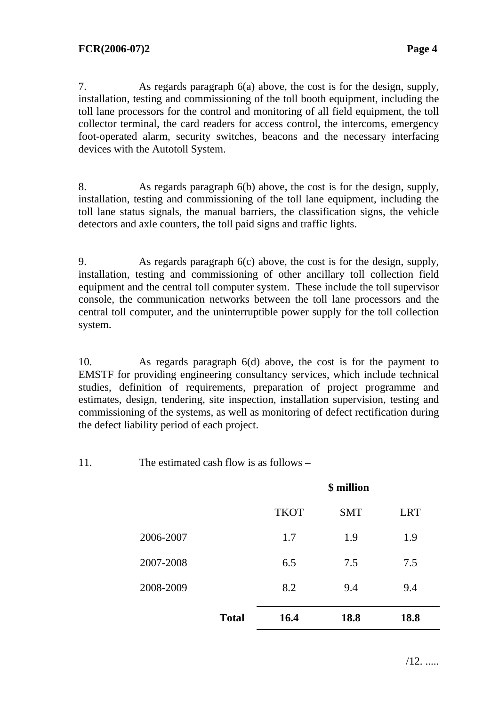7. As regards paragraph 6(a) above, the cost is for the design, supply, installation, testing and commissioning of the toll booth equipment, including the toll lane processors for the control and monitoring of all field equipment, the toll collector terminal, the card readers for access control, the intercoms, emergency foot-operated alarm, security switches, beacons and the necessary interfacing devices with the Autotoll System.

8. As regards paragraph 6(b) above, the cost is for the design, supply, installation, testing and commissioning of the toll lane equipment, including the toll lane status signals, the manual barriers, the classification signs, the vehicle detectors and axle counters, the toll paid signs and traffic lights.

9. As regards paragraph 6(c) above, the cost is for the design, supply, installation, testing and commissioning of other ancillary toll collection field equipment and the central toll computer system. These include the toll supervisor console, the communication networks between the toll lane processors and the central toll computer, and the uninterruptible power supply for the toll collection system.

10. As regards paragraph 6(d) above, the cost is for the payment to EMSTF for providing engineering consultancy services, which include technical studies, definition of requirements, preparation of project programme and estimates, design, tendering, site inspection, installation supervision, testing and commissioning of the systems, as well as monitoring of defect rectification during the defect liability period of each project.

11. The estimated cash flow is as follows –

|           |              | \$ million  |            |            |  |  |  |  |  |  |  |  |  |
|-----------|--------------|-------------|------------|------------|--|--|--|--|--|--|--|--|--|
|           |              | <b>TKOT</b> | <b>SMT</b> | <b>LRT</b> |  |  |  |  |  |  |  |  |  |
| 2006-2007 |              | 1.7         | 1.9        | 1.9        |  |  |  |  |  |  |  |  |  |
| 2007-2008 |              | 6.5         | 7.5        | 7.5        |  |  |  |  |  |  |  |  |  |
| 2008-2009 |              | 8.2         | 9.4        | 9.4        |  |  |  |  |  |  |  |  |  |
|           | <b>Total</b> | 16.4        | 18.8       | 18.8       |  |  |  |  |  |  |  |  |  |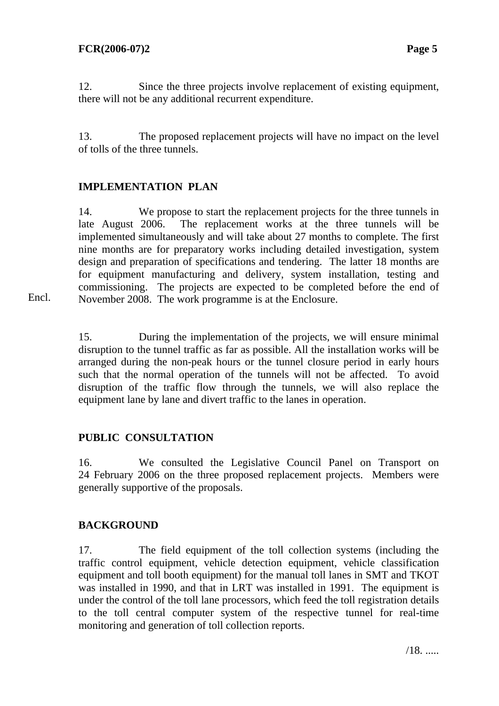Encl.

12. Since the three projects involve replacement of existing equipment, there will not be any additional recurrent expenditure.

13. The proposed replacement projects will have no impact on the level of tolls of the three tunnels.

# **IMPLEMENTATION PLAN**

14. We propose to start the replacement projects for the three tunnels in late August 2006. The replacement works at the three tunnels will be implemented simultaneously and will take about 27 months to complete. The first nine months are for preparatory works including detailed investigation, system design and preparation of specifications and tendering. The latter 18 months are for equipment manufacturing and delivery, system installation, testing and commissioning. The projects are expected to be completed before the end of November 2008. The work programme is at the Enclosure.

15. During the implementation of the projects, we will ensure minimal disruption to the tunnel traffic as far as possible. All the installation works will be arranged during the non-peak hours or the tunnel closure period in early hours such that the normal operation of the tunnels will not be affected. To avoid disruption of the traffic flow through the tunnels, we will also replace the equipment lane by lane and divert traffic to the lanes in operation.

# **PUBLIC CONSULTATION**

16. We consulted the Legislative Council Panel on Transport on 24 February 2006 on the three proposed replacement projects. Members were generally supportive of the proposals.

# **BACKGROUND**

17. The field equipment of the toll collection systems (including the traffic control equipment, vehicle detection equipment, vehicle classification equipment and toll booth equipment) for the manual toll lanes in SMT and TKOT was installed in 1990, and that in LRT was installed in 1991. The equipment is under the control of the toll lane processors, which feed the toll registration details to the toll central computer system of the respective tunnel for real-time monitoring and generation of toll collection reports.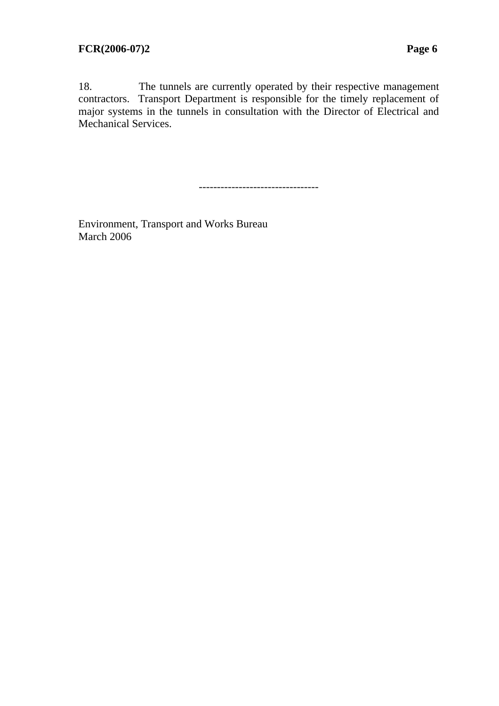18. The tunnels are currently operated by their respective management contractors. Transport Department is responsible for the timely replacement of major systems in the tunnels in consultation with the Director of Electrical and Mechanical Services.

---------------------------------

Environment, Transport and Works Bureau March 2006